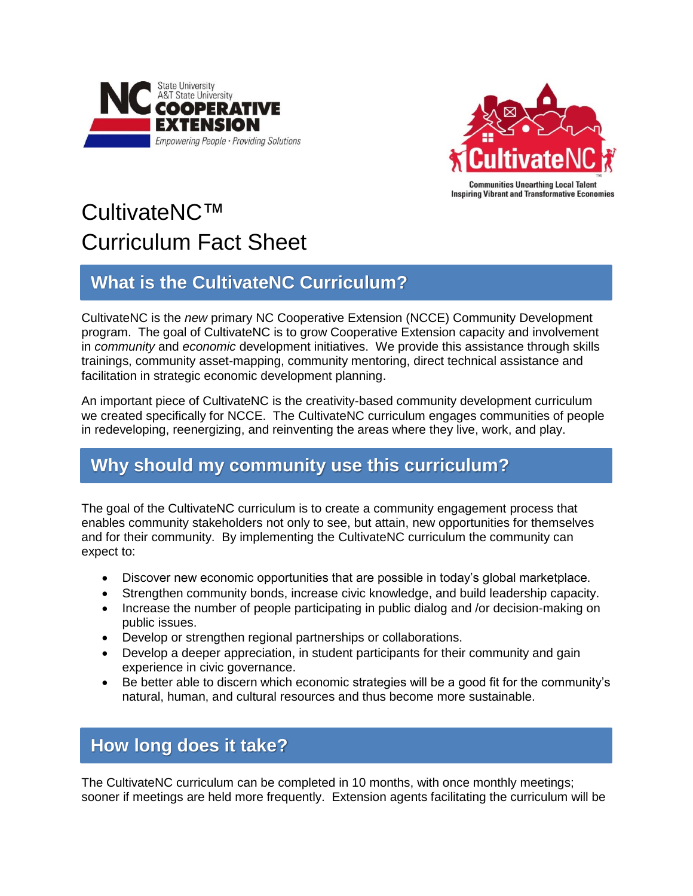



# CultivateNC™ Curriculum Fact Sheet

# **What is the CultivateNC Curriculum?**

CultivateNC is the *new* primary NC Cooperative Extension (NCCE) Community Development program. The goal of CultivateNC is to grow Cooperative Extension capacity and involvement in *community* and *economic* development initiatives. We provide this assistance through skills trainings, community asset-mapping, community mentoring, direct technical assistance and facilitation in strategic economic development planning.

An important piece of CultivateNC is the creativity-based community development curriculum we created specifically for NCCE. The CultivateNC curriculum engages communities of people in redeveloping, reenergizing, and reinventing the areas where they live, work, and play.

# **Why should my community use this curriculum?**

The goal of the CultivateNC curriculum is to create a community engagement process that enables community stakeholders not only to see, but attain, new opportunities for themselves and for their community. By implementing the CultivateNC curriculum the community can expect to:

- Discover new economic opportunities that are possible in today's global marketplace.
- Strengthen community bonds, increase civic knowledge, and build leadership capacity.
- Increase the number of people participating in public dialog and /or decision-making on public issues.
- Develop or strengthen regional partnerships or collaborations.
- Develop a deeper appreciation, in student participants for their community and gain experience in civic governance.
- Be better able to discern which economic strategies will be a good fit for the community's natural, human, and cultural resources and thus become more sustainable.

# **How long does it take?**

The CultivateNC curriculum can be completed in 10 months, with once monthly meetings; sooner if meetings are held more frequently. Extension agents facilitating the curriculum will be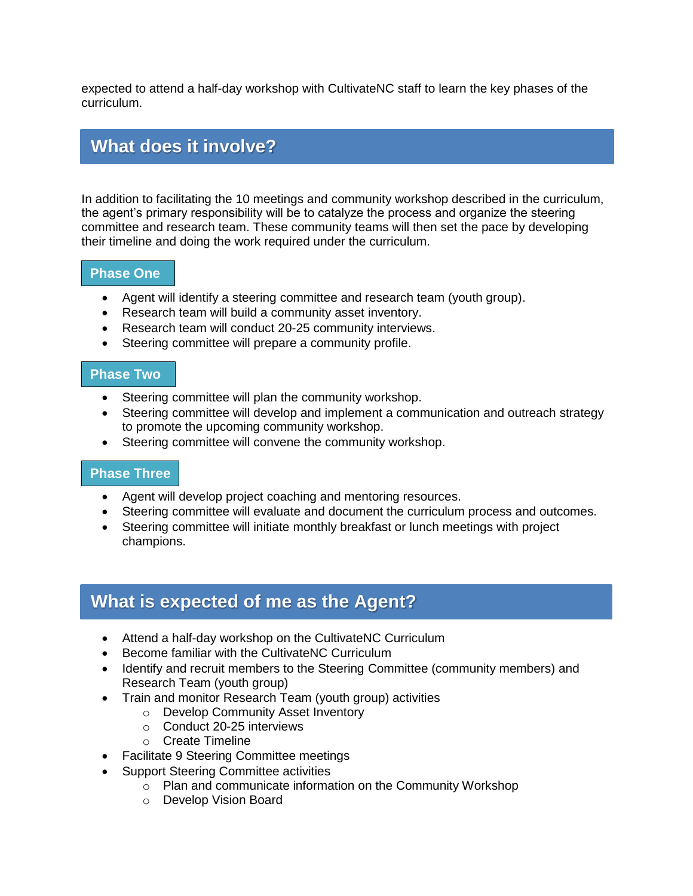expected to attend a half-day workshop with CultivateNC staff to learn the key phases of the curriculum.

### **What does it involve?**

In addition to facilitating the 10 meetings and community workshop described in the curriculum, the agent's primary responsibility will be to catalyze the process and organize the steering committee and research team. These community teams will then set the pace by developing their timeline and doing the work required under the curriculum.

#### **Phase One**

- Agent will identify a steering committee and research team (youth group).
- Research team will build a community asset inventory.
- Research team will conduct 20-25 community interviews.
- Steering committee will prepare a community profile.

#### **Phase Two**

- Steering committee will plan the community workshop.
- Steering committee will develop and implement a communication and outreach strategy to promote the upcoming community workshop.
- Steering committee will convene the community workshop.

#### **Phase Three**

- Agent will develop project coaching and mentoring resources.
- Steering committee will evaluate and document the curriculum process and outcomes.
- Steering committee will initiate monthly breakfast or lunch meetings with project champions.

## **What is expected of me as the Agent?**

- Attend a half-day workshop on the CultivateNC Curriculum
- Become familiar with the CultivateNC Curriculum
- Identify and recruit members to the Steering Committee (community members) and Research Team (youth group)
- Train and monitor Research Team (youth group) activities
	- o Develop Community Asset Inventory
	- o Conduct 20-25 interviews
	- o Create Timeline
- Facilitate 9 Steering Committee meetings
- Support Steering Committee activities
	- o Plan and communicate information on the Community Workshop
	- o Develop Vision Board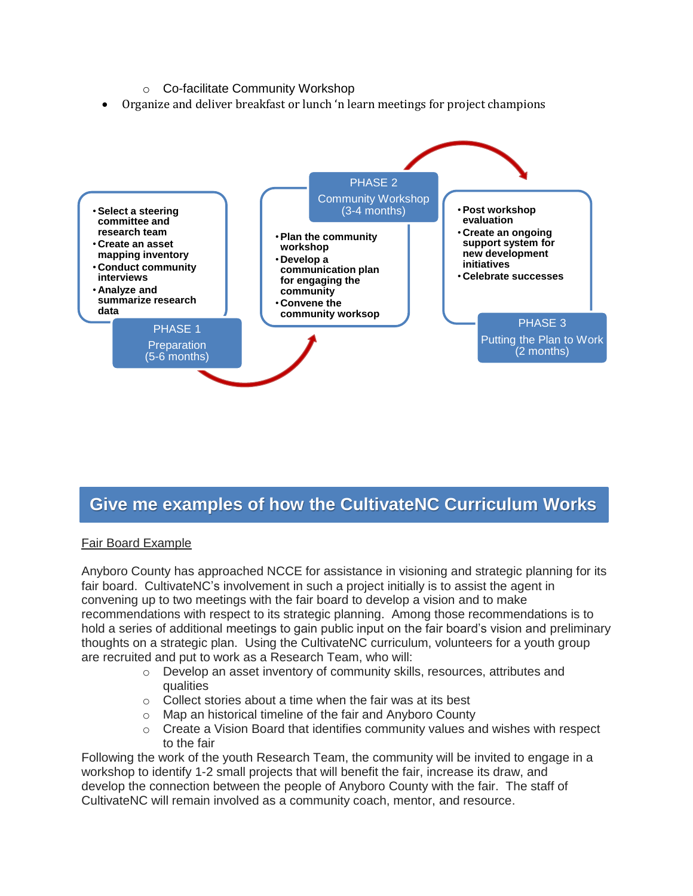

## **Give me examples of how the CultivateNC Curriculum Works**

#### Fair Board Example **Works**

Anyboro County has approached NCCE for assistance in visioning and strategic planning for its fair board. CultivateNC's involvement in such a project initially is to assist the agent in convening up to two meetings with the fair board to develop a vision and to make recommendations with respect to its strategic planning. Among those recommendations is to hold a series of additional meetings to gain public input on the fair board's vision and preliminary thoughts on a strategic plan. Using the CultivateNC curriculum, volunteers for a youth group are recruited and put to work as a Research Team, who will:

- o Develop an asset inventory of community skills, resources, attributes and qualities
- $\circ$  Collect stories about a time when the fair was at its best
- o Map an historical timeline of the fair and Anyboro County
- $\circ$  Create a Vision Board that identifies community values and wishes with respect to the fair

Following the work of the youth Research Team, the community will be invited to engage in a workshop to identify 1-2 small projects that will benefit the fair, increase its draw, and develop the connection between the people of Anyboro County with the fair. The staff of CultivateNC will remain involved as a community coach, mentor, and resource.